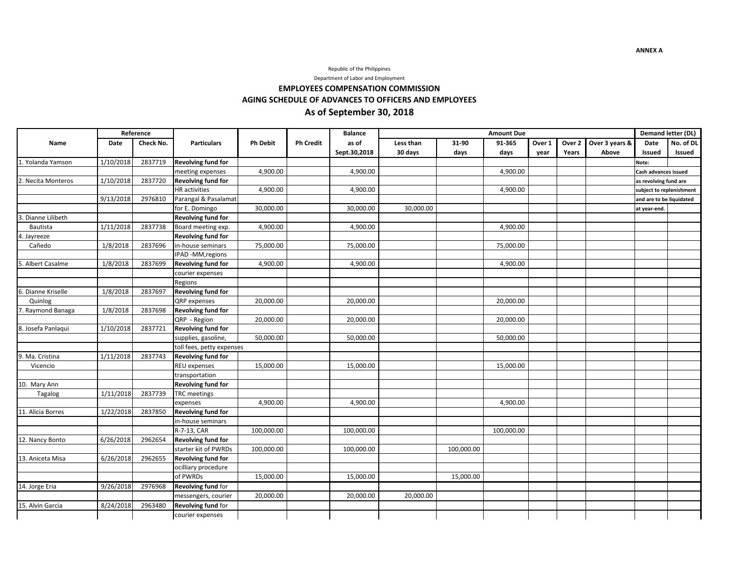

Department of Labor and Employment

**EMPLOYEES COMPENSATION COMMISSION**

### **AGING SCHEDULE OF ADVANCES TO OFFICERS AND EMPLOYEES**

# **As of September 30, 2018**

|                    | Reference |           |                           |                 |                  | <b>Balance</b> | <b>Amount Due</b> |            |            |        |        |                | Demand letter (DL)       |                          |  |
|--------------------|-----------|-----------|---------------------------|-----------------|------------------|----------------|-------------------|------------|------------|--------|--------|----------------|--------------------------|--------------------------|--|
| Name               | Date      | Check No. | <b>Particulars</b>        | <b>Ph Debit</b> | <b>Ph Credit</b> | as of          | Less than         | 31-90      | 91-365     | Over 1 | Over 2 | Over 3 years & | Date                     | No. of DL                |  |
|                    |           |           |                           |                 |                  | Sept.30,2018   | 30 days           | days       | days       | vear   | Years  | Above          | Issued                   | Issued                   |  |
| 1. Yolanda Yamson  | 1/10/2018 | 2837719   | <b>Revolving fund for</b> |                 |                  |                |                   |            |            |        |        |                | Note:                    |                          |  |
|                    |           |           | meeting expenses          | 4,900.00        |                  | 4,900.00       |                   |            | 4,900.00   |        |        |                | Cash advances issued     |                          |  |
| 2. Necita Monteros | 1/10/2018 | 2837720   | <b>Revolving fund for</b> |                 |                  |                |                   |            |            |        |        |                | as revolving fund are    |                          |  |
|                    |           |           | <b>HR</b> activities      | 4,900.00        |                  | 4,900.00       |                   |            | 4,900.00   |        |        |                | subject to replenishment |                          |  |
|                    | 9/13/2018 | 2976810   | Parangal & Pasalamat      |                 |                  |                |                   |            |            |        |        |                |                          | and are to be liquidated |  |
|                    |           |           | for E. Domingo            | 30,000.00       |                  | 30,000.00      | 30,000.00         |            |            |        |        |                | at year-end.             |                          |  |
| . Dianne Lilibeth  |           |           | <b>Revolving fund for</b> |                 |                  |                |                   |            |            |        |        |                |                          |                          |  |
| Bautista           | 1/11/2018 | 2837738   | Board meeting exp.        | 4,900.00        |                  | 4,900.00       |                   |            | 4,900.00   |        |        |                |                          |                          |  |
| 4. Jayreeze        |           |           | <b>Revolving fund for</b> |                 |                  |                |                   |            |            |        |        |                |                          |                          |  |
| Cañedo             | 1/8/2018  | 2837696   | in-house seminars         | 75,000.00       |                  | 75,000.00      |                   |            | 75,000.00  |        |        |                |                          |                          |  |
|                    |           |           | IPAD -MM, regions         |                 |                  |                |                   |            |            |        |        |                |                          |                          |  |
| 5. Albert Casalme  | 1/8/2018  | 2837699   | <b>Revolving fund for</b> | 4,900.00        |                  | 4,900.00       |                   |            | 4,900.00   |        |        |                |                          |                          |  |
|                    |           |           | courier expenses          |                 |                  |                |                   |            |            |        |        |                |                          |                          |  |
|                    |           |           | Regions                   |                 |                  |                |                   |            |            |        |        |                |                          |                          |  |
| 6. Dianne Kriselle | 1/8/2018  | 2837697   | <b>Revolving fund for</b> |                 |                  |                |                   |            |            |        |        |                |                          |                          |  |
| Quinlog            |           |           | QRP expenses              | 20,000.00       |                  | 20,000.00      |                   |            | 20,000.00  |        |        |                |                          |                          |  |
| 7. Raymond Banaga  | 1/8/2018  | 2837698   | <b>Revolving fund for</b> |                 |                  |                |                   |            |            |        |        |                |                          |                          |  |
|                    |           |           | QRP - Region              | 20,000.00       |                  | 20,000.00      |                   |            | 20,000.00  |        |        |                |                          |                          |  |
| 8. Josefa Panlaqui | 1/10/2018 | 2837721   | <b>Revolving fund for</b> |                 |                  |                |                   |            |            |        |        |                |                          |                          |  |
|                    |           |           | supplies, gasoline,       | 50,000.00       |                  | 50,000.00      |                   |            | 50,000.00  |        |        |                |                          |                          |  |
|                    |           |           | toll fees, petty expenses |                 |                  |                |                   |            |            |        |        |                |                          |                          |  |
| 9. Ma. Cristina    | 1/11/2018 | 2837743   | <b>Revolving fund for</b> |                 |                  |                |                   |            |            |        |        |                |                          |                          |  |
| Vicencio           |           |           | REU expenses              | 15,000.00       |                  | 15,000.00      |                   |            | 15,000.00  |        |        |                |                          |                          |  |
|                    |           |           | transportation            |                 |                  |                |                   |            |            |        |        |                |                          |                          |  |
| 10. Mary Ann       |           |           | <b>Revolving fund for</b> |                 |                  |                |                   |            |            |        |        |                |                          |                          |  |
| Tagalog            | 1/11/2018 | 2837739   | <b>TRC</b> meetings       |                 |                  |                |                   |            |            |        |        |                |                          |                          |  |
|                    |           |           | expenses                  | 4,900.00        |                  | 4,900.00       |                   |            | 4,900.00   |        |        |                |                          |                          |  |
| 11. Alicia Borres  | 1/22/2018 | 2837850   | <b>Revolving fund for</b> |                 |                  |                |                   |            |            |        |        |                |                          |                          |  |
|                    |           |           | in-house seminars         |                 |                  |                |                   |            |            |        |        |                |                          |                          |  |
|                    |           |           | R-7-13, CAR               | 100,000.00      |                  | 100,000.00     |                   |            | 100,000.00 |        |        |                |                          |                          |  |
| 12. Nancy Bonto    | 6/26/2018 | 2962654   | <b>Revolving fund for</b> |                 |                  |                |                   |            |            |        |        |                |                          |                          |  |
|                    |           |           | starter kit of PWRDs      | 100,000.00      |                  | 100,000.00     |                   | 100,000.00 |            |        |        |                |                          |                          |  |
| 13. Aniceta Misa   | 6/26/2018 | 2962655   | <b>Revolving fund for</b> |                 |                  |                |                   |            |            |        |        |                |                          |                          |  |
|                    |           |           | ocilliary procedure       |                 |                  |                |                   |            |            |        |        |                |                          |                          |  |
|                    |           |           | of PWRDs                  | 15,000.00       |                  | 15,000.00      |                   | 15,000.00  |            |        |        |                |                          |                          |  |
| 14. Jorge Eria     | 9/26/2018 | 2976968   | <b>Revolving fund for</b> |                 |                  |                |                   |            |            |        |        |                |                          |                          |  |
|                    |           |           | messengers, courier       | 20,000.00       |                  | 20,000.00      | 20,000.00         |            |            |        |        |                |                          |                          |  |
| 15. Alvin Garcia   | 8/24/2018 | 2963480   | <b>Revolving fund for</b> |                 |                  |                |                   |            |            |        |        |                |                          |                          |  |
|                    |           |           | courier expenses          |                 |                  |                |                   |            |            |        |        |                |                          |                          |  |